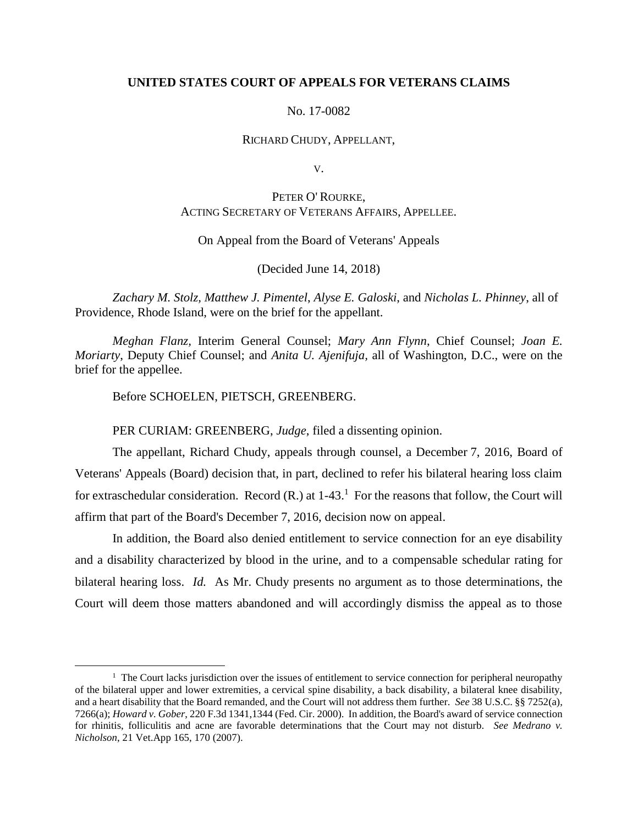# **UNITED STATES COURT OF APPEALS FOR VETERANS CLAIMS**

## No. 17-0082

#### RICHARD CHUDY, APPELLANT,

V.

# PETER O' ROURKE, ACTING SECRETARY OF VETERANS AFFAIRS, APPELLEE.

## On Appeal from the Board of Veterans' Appeals

## (Decided June 14, 2018)

*Zachary M. Stolz, Matthew J. Pimentel*, *Alyse E. Galoski*, and *Nicholas L. Phinney*, all of Providence, Rhode Island, were on the brief for the appellant.

*Meghan Flanz,* Interim General Counsel; *Mary Ann Flynn*, Chief Counsel; *Joan E. Moriarty*, Deputy Chief Counsel; and *Anita U. Ajenifuja,* all of Washington, D.C., were on the brief for the appellee.

Before SCHOELEN, PIETSCH, GREENBERG.

 $\overline{a}$ 

PER CURIAM: GREENBERG, *Judge*, filed a dissenting opinion.

The appellant, Richard Chudy, appeals through counsel, a December 7, 2016, Board of Veterans' Appeals (Board) decision that, in part, declined to refer his bilateral hearing loss claim for extraschedular consideration. Record  $(R)$  at  $1-43<sup>1</sup>$  For the reasons that follow, the Court will affirm that part of the Board's December 7, 2016, decision now on appeal.

In addition, the Board also denied entitlement to service connection for an eye disability and a disability characterized by blood in the urine, and to a compensable schedular rating for bilateral hearing loss. *Id.* As Mr. Chudy presents no argument as to those determinations, the Court will deem those matters abandoned and will accordingly dismiss the appeal as to those

<sup>&</sup>lt;sup>1</sup> The Court lacks jurisdiction over the issues of entitlement to service connection for peripheral neuropathy of the bilateral upper and lower extremities, a cervical spine disability, a back disability, a bilateral knee disability, and a heart disability that the Board remanded, and the Court will not address them further. *See* 38 U.S.C. §§ 7252(a), 7266(a); *Howard v. Gober*, 220 F.3d 1341,1344 (Fed. Cir. 2000). In addition, the Board's award of service connection for rhinitis, folliculitis and acne are favorable determinations that the Court may not disturb. *See Medrano v. Nicholson*, 21 Vet.App 165, 170 (2007).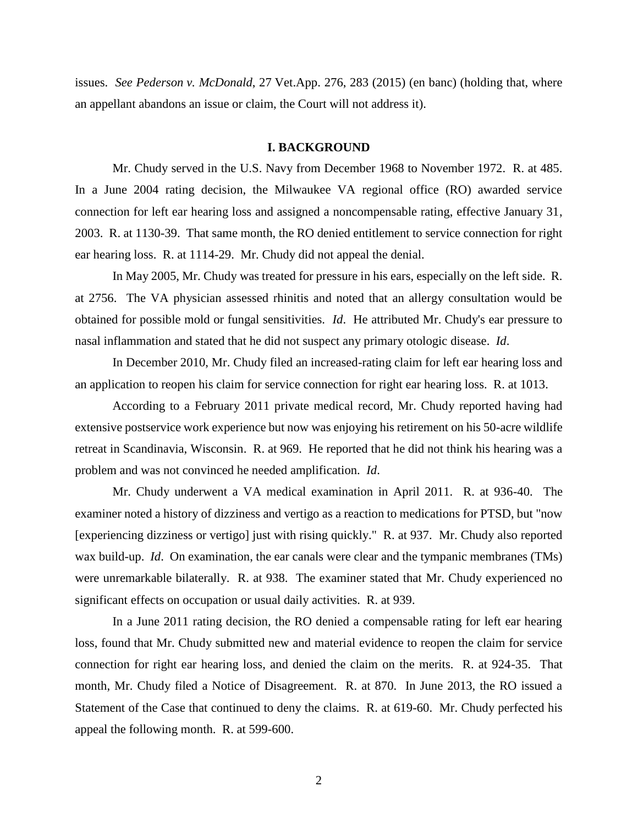issues. *See Pederson v. McDonald*, 27 Vet.App. 276, 283 (2015) (en banc) (holding that, where an appellant abandons an issue or claim, the Court will not address it).

## **I. BACKGROUND**

Mr. Chudy served in the U.S. Navy from December 1968 to November 1972. R. at 485. In a June 2004 rating decision, the Milwaukee VA regional office (RO) awarded service connection for left ear hearing loss and assigned a noncompensable rating, effective January 31, 2003. R. at 1130-39. That same month, the RO denied entitlement to service connection for right ear hearing loss. R. at 1114-29. Mr. Chudy did not appeal the denial.

In May 2005, Mr. Chudy was treated for pressure in his ears, especially on the left side. R. at 2756. The VA physician assessed rhinitis and noted that an allergy consultation would be obtained for possible mold or fungal sensitivities. *Id*. He attributed Mr. Chudy's ear pressure to nasal inflammation and stated that he did not suspect any primary otologic disease. *Id*.

In December 2010, Mr. Chudy filed an increased-rating claim for left ear hearing loss and an application to reopen his claim for service connection for right ear hearing loss. R. at 1013.

According to a February 2011 private medical record, Mr. Chudy reported having had extensive postservice work experience but now was enjoying his retirement on his 50-acre wildlife retreat in Scandinavia, Wisconsin. R. at 969. He reported that he did not think his hearing was a problem and was not convinced he needed amplification. *Id*.

Mr. Chudy underwent a VA medical examination in April 2011. R. at 936-40. The examiner noted a history of dizziness and vertigo as a reaction to medications for PTSD, but "now [experiencing dizziness or vertigo] just with rising quickly." R. at 937. Mr. Chudy also reported wax build-up. *Id*. On examination, the ear canals were clear and the tympanic membranes (TMs) were unremarkable bilaterally. R. at 938. The examiner stated that Mr. Chudy experienced no significant effects on occupation or usual daily activities. R. at 939.

In a June 2011 rating decision, the RO denied a compensable rating for left ear hearing loss, found that Mr. Chudy submitted new and material evidence to reopen the claim for service connection for right ear hearing loss, and denied the claim on the merits. R. at 924-35. That month, Mr. Chudy filed a Notice of Disagreement. R. at 870. In June 2013, the RO issued a Statement of the Case that continued to deny the claims. R. at 619-60. Mr. Chudy perfected his appeal the following month. R. at 599-600.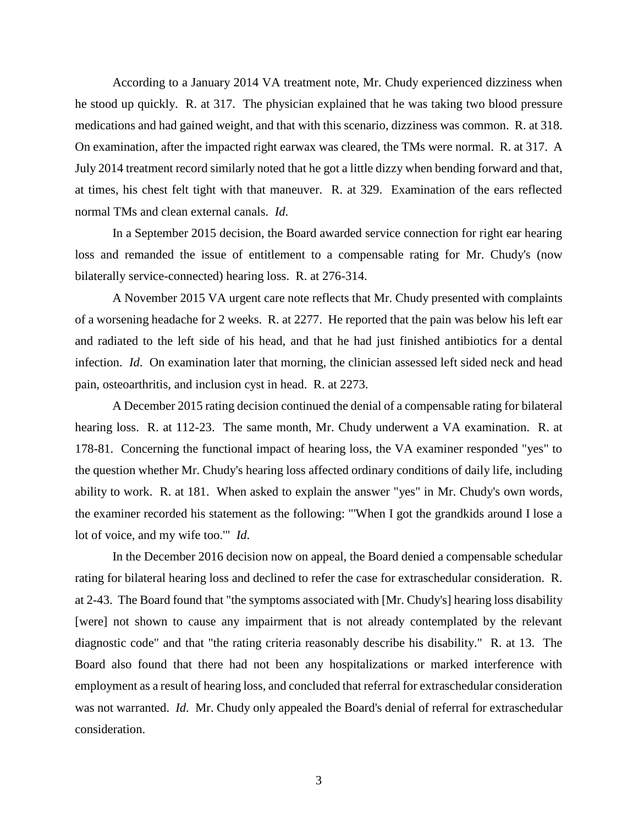According to a January 2014 VA treatment note, Mr. Chudy experienced dizziness when he stood up quickly. R. at 317. The physician explained that he was taking two blood pressure medications and had gained weight, and that with this scenario, dizziness was common. R. at 318. On examination, after the impacted right earwax was cleared, the TMs were normal. R. at 317. A July 2014 treatment record similarly noted that he got a little dizzy when bending forward and that, at times, his chest felt tight with that maneuver. R. at 329. Examination of the ears reflected normal TMs and clean external canals. *Id*.

In a September 2015 decision, the Board awarded service connection for right ear hearing loss and remanded the issue of entitlement to a compensable rating for Mr. Chudy's (now bilaterally service-connected) hearing loss. R. at 276-314.

A November 2015 VA urgent care note reflects that Mr. Chudy presented with complaints of a worsening headache for 2 weeks. R. at 2277. He reported that the pain was below his left ear and radiated to the left side of his head, and that he had just finished antibiotics for a dental infection. *Id*. On examination later that morning, the clinician assessed left sided neck and head pain, osteoarthritis, and inclusion cyst in head. R. at 2273.

A December 2015 rating decision continued the denial of a compensable rating for bilateral hearing loss. R. at 112-23. The same month, Mr. Chudy underwent a VA examination. R. at 178-81. Concerning the functional impact of hearing loss, the VA examiner responded "yes" to the question whether Mr. Chudy's hearing loss affected ordinary conditions of daily life, including ability to work. R. at 181. When asked to explain the answer "yes" in Mr. Chudy's own words, the examiner recorded his statement as the following: "'When I got the grandkids around I lose a lot of voice, and my wife too.'" *Id*.

In the December 2016 decision now on appeal, the Board denied a compensable schedular rating for bilateral hearing loss and declined to refer the case for extraschedular consideration. R. at 2-43. The Board found that "the symptoms associated with [Mr. Chudy's] hearing loss disability [were] not shown to cause any impairment that is not already contemplated by the relevant diagnostic code" and that "the rating criteria reasonably describe his disability." R. at 13. The Board also found that there had not been any hospitalizations or marked interference with employment as a result of hearing loss, and concluded that referral for extraschedular consideration was not warranted. *Id*. Mr. Chudy only appealed the Board's denial of referral for extraschedular consideration.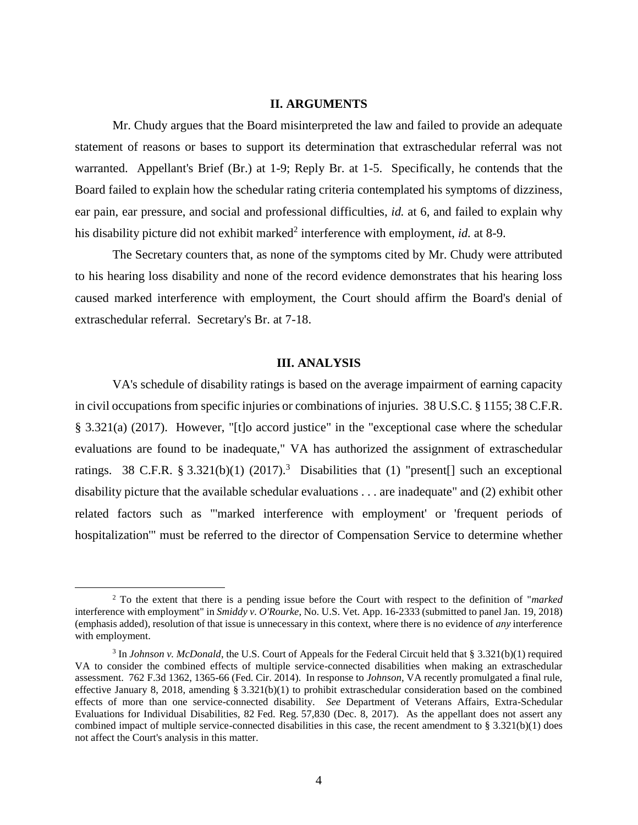## **II. ARGUMENTS**

Mr. Chudy argues that the Board misinterpreted the law and failed to provide an adequate statement of reasons or bases to support its determination that extraschedular referral was not warranted. Appellant's Brief (Br.) at 1-9; Reply Br. at 1-5. Specifically, he contends that the Board failed to explain how the schedular rating criteria contemplated his symptoms of dizziness, ear pain, ear pressure, and social and professional difficulties, *id.* at 6, and failed to explain why his disability picture did not exhibit marked<sup>2</sup> interference with employment, *id.* at 8-9.

The Secretary counters that, as none of the symptoms cited by Mr. Chudy were attributed to his hearing loss disability and none of the record evidence demonstrates that his hearing loss caused marked interference with employment, the Court should affirm the Board's denial of extraschedular referral. Secretary's Br. at 7-18.

## **III. ANALYSIS**

VA's schedule of disability ratings is based on the average impairment of earning capacity in civil occupations from specific injuries or combinations of injuries. 38 U.S.C. § 1155; 38 C.F.R. § 3.321(a) (2017). However, "[t]o accord justice" in the "exceptional case where the schedular evaluations are found to be inadequate," VA has authorized the assignment of extraschedular ratings. 38 C.F.R. § 3.321(b)(1) (2017).<sup>3</sup> Disabilities that (1) "present[] such an exceptional disability picture that the available schedular evaluations . . . are inadequate" and (2) exhibit other related factors such as "'marked interference with employment' or 'frequent periods of hospitalization'" must be referred to the director of Compensation Service to determine whether

 $\overline{a}$ 

<sup>2</sup> To the extent that there is a pending issue before the Court with respect to the definition of "*marked*  interference with employment" in *Smiddy v. O'Rourke*, No. U.S. Vet. App. 16-2333 (submitted to panel Jan. 19, 2018) (emphasis added), resolution of that issue is unnecessary in this context, where there is no evidence of *any* interference with employment.

<sup>&</sup>lt;sup>3</sup> In *Johnson v. McDonald*, the U.S. Court of Appeals for the Federal Circuit held that § 3.321(b)(1) required VA to consider the combined effects of multiple service-connected disabilities when making an extraschedular assessment. 762 F.3d 1362, 1365-66 (Fed. Cir. 2014). In response to *Johnson*, VA recently promulgated a final rule, effective January 8, 2018, amending § 3.321(b)(1) to prohibit extraschedular consideration based on the combined effects of more than one service-connected disability. *See* Department of Veterans Affairs, Extra-Schedular Evaluations for Individual Disabilities, 82 Fed. Reg. 57,830 (Dec. 8, 2017). As the appellant does not assert any combined impact of multiple service-connected disabilities in this case, the recent amendment to  $\S 3.321(b)(1)$  does not affect the Court's analysis in this matter.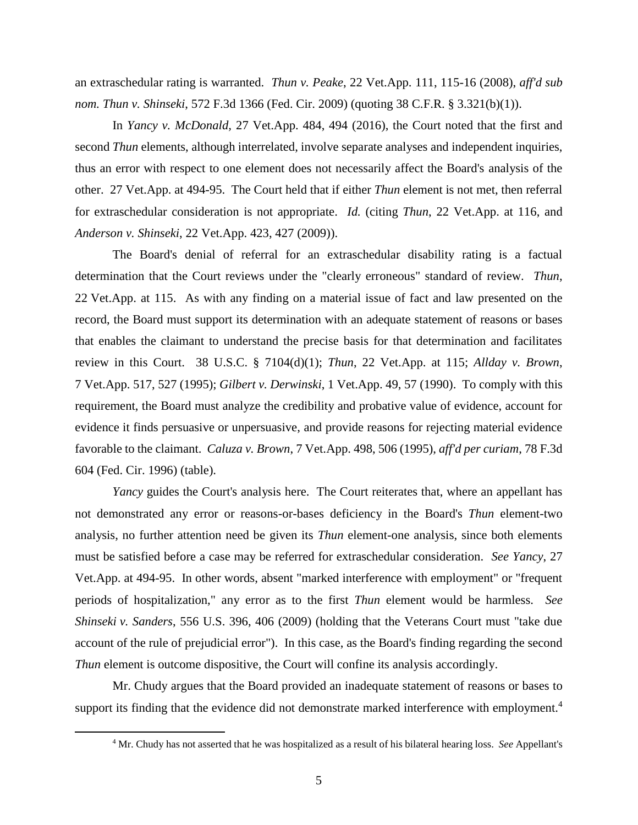an extraschedular rating is warranted. *Thun v. Peake*, 22 Vet.App. 111, 115-16 (2008), *aff'd sub nom. Thun v. Shinseki*, 572 F.3d 1366 (Fed. Cir. 2009) (quoting 38 C.F.R. § 3.321(b)(1)).

In *Yancy v. McDonald,* 27 Vet.App. 484, 494 (2016), the Court noted that the first and second *Thun* elements, although interrelated, involve separate analyses and independent inquiries, thus an error with respect to one element does not necessarily affect the Board's analysis of the other. 27 Vet.App. at 494-95. The Court held that if either *Thun* element is not met, then referral for extraschedular consideration is not appropriate. *Id.* (citing *Thun*, 22 Vet.App. at 116, and *Anderson v. Shinseki*, 22 Vet.App. 423, 427 (2009)).

The Board's denial of referral for an extraschedular disability rating is a factual determination that the Court reviews under the "clearly erroneous" standard of review. *Thun*, 22 Vet.App. at 115. As with any finding on a material issue of fact and law presented on the record, the Board must support its determination with an adequate statement of reasons or bases that enables the claimant to understand the precise basis for that determination and facilitates review in this Court. 38 U.S.C. § 7104(d)(1); *Thun*, 22 Vet.App. at 115; *Allday v. Brown*, 7 Vet.App. 517, 527 (1995); *Gilbert v. Derwinski*, 1 Vet.App. 49, 57 (1990). To comply with this requirement, the Board must analyze the credibility and probative value of evidence, account for evidence it finds persuasive or unpersuasive, and provide reasons for rejecting material evidence favorable to the claimant. *Caluza v. Brown*, 7 Vet.App. 498, 506 (1995), *aff'd per curiam*, 78 F.3d 604 (Fed. Cir. 1996) (table).

*Yancy* guides the Court's analysis here. The Court reiterates that, where an appellant has not demonstrated any error or reasons-or-bases deficiency in the Board's *Thun* element-two analysis, no further attention need be given its *Thun* element-one analysis, since both elements must be satisfied before a case may be referred for extraschedular consideration. *See Yancy*, 27 Vet.App. at 494-95. In other words, absent "marked interference with employment" or "frequent periods of hospitalization," any error as to the first *Thun* element would be harmless. *See Shinseki v. Sanders*, 556 U.S. 396, 406 (2009) (holding that the Veterans Court must "take due account of the rule of prejudicial error"). In this case, as the Board's finding regarding the second *Thun* element is outcome dispositive, the Court will confine its analysis accordingly.

Mr. Chudy argues that the Board provided an inadequate statement of reasons or bases to support its finding that the evidence did not demonstrate marked interference with employment.<sup>4</sup>

 $\overline{a}$ 

<sup>4</sup> Mr. Chudy has not asserted that he was hospitalized as a result of his bilateral hearing loss. *See* Appellant's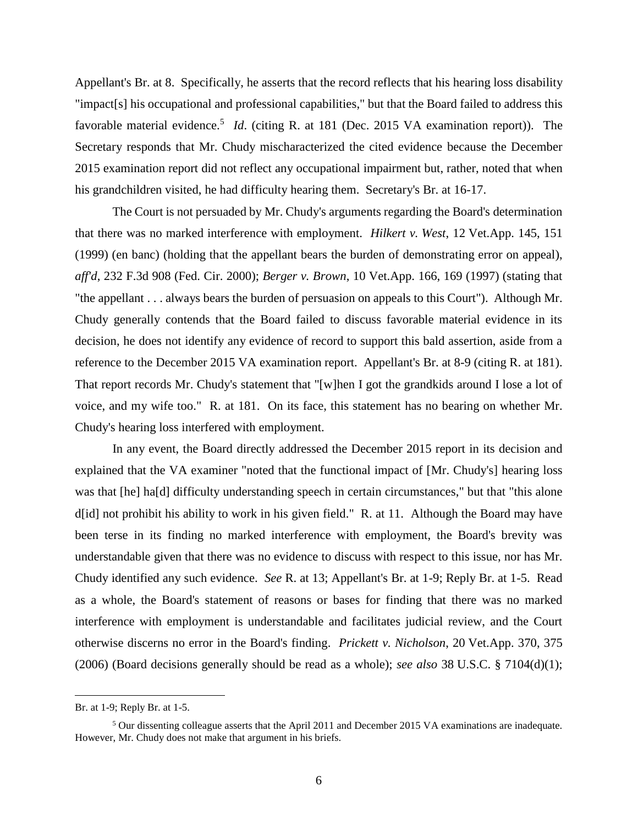Appellant's Br. at 8. Specifically, he asserts that the record reflects that his hearing loss disability "impact[s] his occupational and professional capabilities," but that the Board failed to address this favorable material evidence.<sup>5</sup> *Id*. (citing R. at 181 (Dec. 2015 VA examination report)). The Secretary responds that Mr. Chudy mischaracterized the cited evidence because the December 2015 examination report did not reflect any occupational impairment but, rather, noted that when his grandchildren visited, he had difficulty hearing them. Secretary's Br. at 16-17.

The Court is not persuaded by Mr. Chudy's arguments regarding the Board's determination that there was no marked interference with employment. *Hilkert v. West*, 12 Vet.App. 145, 151 (1999) (en banc) (holding that the appellant bears the burden of demonstrating error on appeal), *aff'd*, 232 F.3d 908 (Fed. Cir. 2000); *Berger v. Brown*, 10 Vet.App. 166, 169 (1997) (stating that "the appellant . . . always bears the burden of persuasion on appeals to this Court"). Although Mr. Chudy generally contends that the Board failed to discuss favorable material evidence in its decision, he does not identify any evidence of record to support this bald assertion, aside from a reference to the December 2015 VA examination report. Appellant's Br. at 8-9 (citing R. at 181). That report records Mr. Chudy's statement that "[w]hen I got the grandkids around I lose a lot of voice, and my wife too." R. at 181. On its face, this statement has no bearing on whether Mr. Chudy's hearing loss interfered with employment.

In any event, the Board directly addressed the December 2015 report in its decision and explained that the VA examiner "noted that the functional impact of [Mr. Chudy's] hearing loss was that [he] ha[d] difficulty understanding speech in certain circumstances," but that "this alone d[id] not prohibit his ability to work in his given field." R. at 11. Although the Board may have been terse in its finding no marked interference with employment, the Board's brevity was understandable given that there was no evidence to discuss with respect to this issue, nor has Mr. Chudy identified any such evidence. *See* R. at 13; Appellant's Br. at 1-9; Reply Br. at 1-5. Read as a whole, the Board's statement of reasons or bases for finding that there was no marked interference with employment is understandable and facilitates judicial review, and the Court otherwise discerns no error in the Board's finding. *Prickett v. Nicholson*, 20 Vet.App. 370, 375 (2006) (Board decisions generally should be read as a whole); *see also* 38 U.S.C. § 7104(d)(1);

 $\overline{a}$ 

Br. at 1-9; Reply Br. at 1-5.

<sup>5</sup> Our dissenting colleague asserts that the April 2011 and December 2015 VA examinations are inadequate. However, Mr. Chudy does not make that argument in his briefs.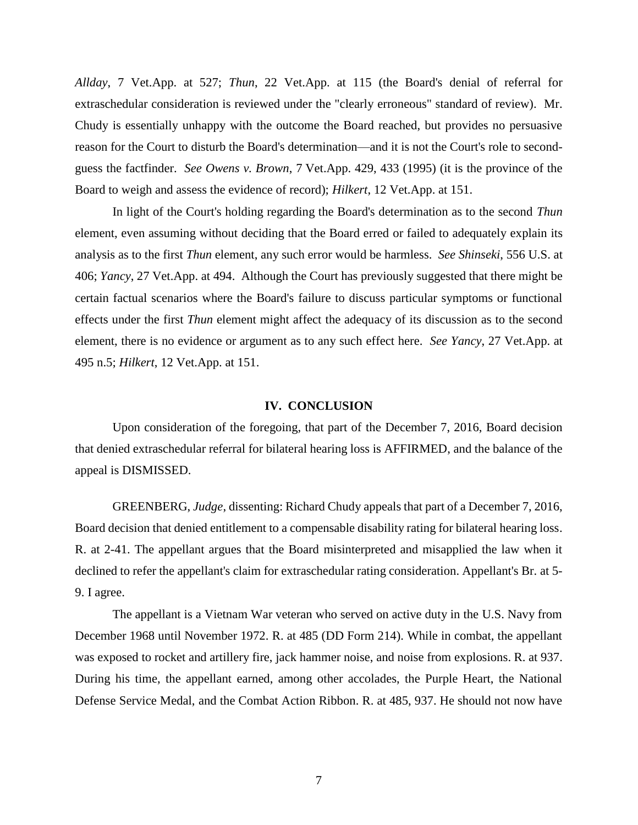*Allday*, 7 Vet.App. at 527; *Thun*, 22 Vet.App. at 115 (the Board's denial of referral for extraschedular consideration is reviewed under the "clearly erroneous" standard of review). Mr. Chudy is essentially unhappy with the outcome the Board reached, but provides no persuasive reason for the Court to disturb the Board's determination—and it is not the Court's role to secondguess the factfinder. *See Owens v. Brown*, 7 Vet.App. 429, 433 (1995) (it is the province of the Board to weigh and assess the evidence of record); *Hilkert*, 12 Vet.App. at 151.

In light of the Court's holding regarding the Board's determination as to the second *Thun* element, even assuming without deciding that the Board erred or failed to adequately explain its analysis as to the first *Thun* element, any such error would be harmless. *See Shinseki*, 556 U.S. at 406; *Yancy*, 27 Vet.App. at 494. Although the Court has previously suggested that there might be certain factual scenarios where the Board's failure to discuss particular symptoms or functional effects under the first *Thun* element might affect the adequacy of its discussion as to the second element, there is no evidence or argument as to any such effect here. *See Yancy*, 27 Vet.App. at 495 n.5; *Hilkert*, 12 Vet.App. at 151.

#### **IV. CONCLUSION**

Upon consideration of the foregoing, that part of the December 7, 2016, Board decision that denied extraschedular referral for bilateral hearing loss is AFFIRMED, and the balance of the appeal is DISMISSED.

GREENBERG, *Judge*, dissenting: Richard Chudy appeals that part of a December 7, 2016, Board decision that denied entitlement to a compensable disability rating for bilateral hearing loss. R. at 2-41. The appellant argues that the Board misinterpreted and misapplied the law when it declined to refer the appellant's claim for extraschedular rating consideration. Appellant's Br. at 5- 9. I agree.

The appellant is a Vietnam War veteran who served on active duty in the U.S. Navy from December 1968 until November 1972. R. at 485 (DD Form 214). While in combat, the appellant was exposed to rocket and artillery fire, jack hammer noise, and noise from explosions. R. at 937. During his time, the appellant earned, among other accolades, the Purple Heart, the National Defense Service Medal, and the Combat Action Ribbon. R. at 485, 937. He should not now have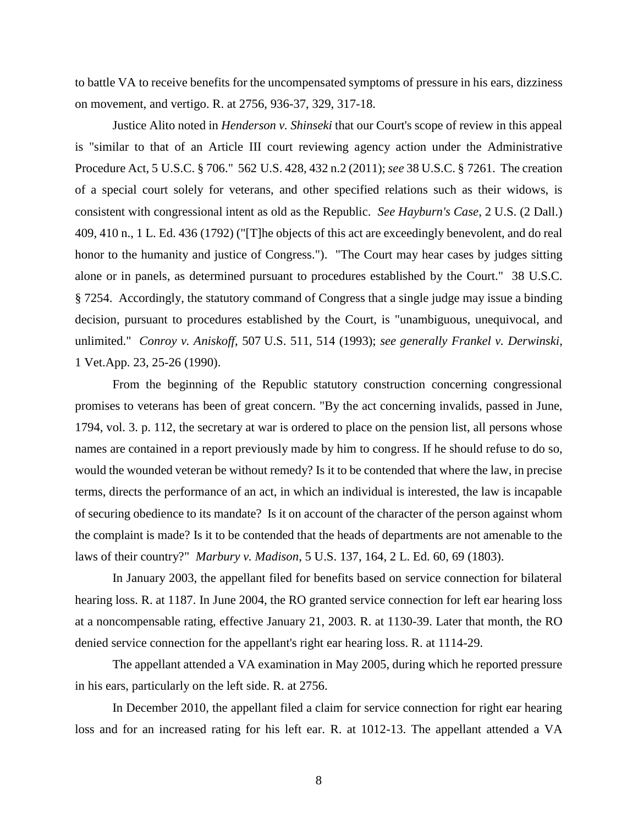to battle VA to receive benefits for the uncompensated symptoms of pressure in his ears, dizziness on movement, and vertigo. R. at 2756, 936-37, 329, 317-18.

Justice Alito noted in *Henderson v. Shinseki* that our Court's scope of review in this appeal is "similar to that of an Article III court reviewing agency action under the Administrative Procedure Act, 5 U.S.C. § 706." 562 U.S. 428, 432 n.2 (2011); *see* 38 U.S.C. § 7261. The creation of a special court solely for veterans, and other specified relations such as their widows, is consistent with congressional intent as old as the Republic. *See Hayburn's Case*, 2 U.S. (2 Dall.) 409, 410 n., 1 L. Ed. 436 (1792) ("[T]he objects of this act are exceedingly benevolent, and do real honor to the humanity and justice of Congress."). "The Court may hear cases by judges sitting alone or in panels, as determined pursuant to procedures established by the Court." 38 U.S.C. § 7254. Accordingly, the statutory command of Congress that a single judge may issue a binding decision, pursuant to procedures established by the Court, is "unambiguous, unequivocal, and unlimited." *Conroy v. Aniskoff*, 507 U.S. 511, 514 (1993); *see generally Frankel v. Derwinski*, 1 Vet.App. 23, 25-26 (1990).

From the beginning of the Republic statutory construction concerning congressional promises to veterans has been of great concern. "By the act concerning invalids, passed in June, 1794, vol. 3. p. 112, the secretary at war is ordered to place on the pension list, all persons whose names are contained in a report previously made by him to congress. If he should refuse to do so, would the wounded veteran be without remedy? Is it to be contended that where the law, in precise terms, directs the performance of an act, in which an individual is interested, the law is incapable of securing obedience to its mandate? Is it on account of the character of the person against whom the complaint is made? Is it to be contended that the heads of departments are not amenable to the laws of their country?" *Marbury v. Madison*, 5 U.S. 137, 164, 2 L. Ed. 60, 69 (1803).

In January 2003, the appellant filed for benefits based on service connection for bilateral hearing loss. R. at 1187. In June 2004, the RO granted service connection for left ear hearing loss at a noncompensable rating, effective January 21, 2003. R. at 1130-39. Later that month, the RO denied service connection for the appellant's right ear hearing loss. R. at 1114-29.

The appellant attended a VA examination in May 2005, during which he reported pressure in his ears, particularly on the left side. R. at 2756.

In December 2010, the appellant filed a claim for service connection for right ear hearing loss and for an increased rating for his left ear. R. at 1012-13. The appellant attended a VA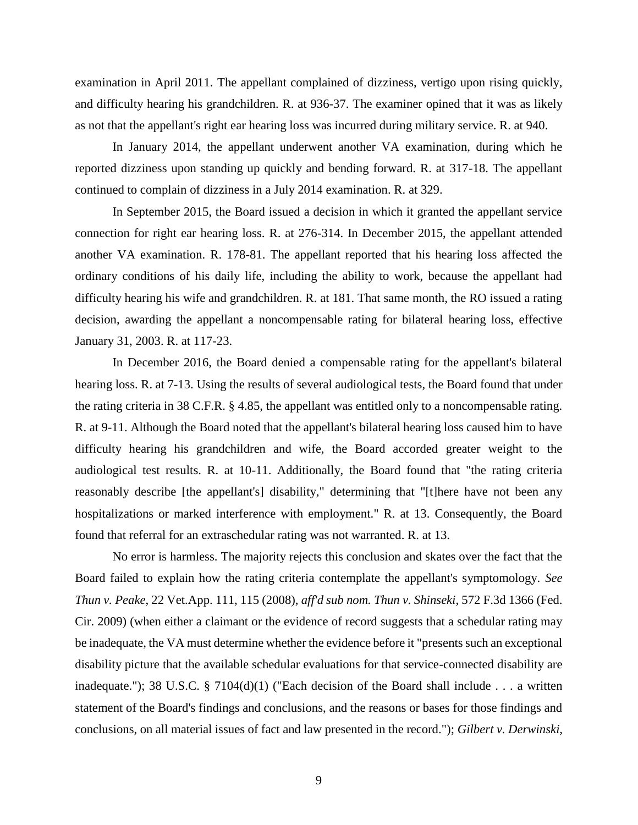examination in April 2011. The appellant complained of dizziness, vertigo upon rising quickly, and difficulty hearing his grandchildren. R. at 936-37. The examiner opined that it was as likely as not that the appellant's right ear hearing loss was incurred during military service. R. at 940.

In January 2014, the appellant underwent another VA examination, during which he reported dizziness upon standing up quickly and bending forward. R. at 317-18. The appellant continued to complain of dizziness in a July 2014 examination. R. at 329.

In September 2015, the Board issued a decision in which it granted the appellant service connection for right ear hearing loss. R. at 276-314. In December 2015, the appellant attended another VA examination. R. 178-81. The appellant reported that his hearing loss affected the ordinary conditions of his daily life, including the ability to work, because the appellant had difficulty hearing his wife and grandchildren. R. at 181. That same month, the RO issued a rating decision, awarding the appellant a noncompensable rating for bilateral hearing loss, effective January 31, 2003. R. at 117-23.

In December 2016, the Board denied a compensable rating for the appellant's bilateral hearing loss. R. at 7-13. Using the results of several audiological tests, the Board found that under the rating criteria in 38 C.F.R. § 4.85, the appellant was entitled only to a noncompensable rating. R. at 9-11. Although the Board noted that the appellant's bilateral hearing loss caused him to have difficulty hearing his grandchildren and wife, the Board accorded greater weight to the audiological test results. R. at 10-11. Additionally, the Board found that "the rating criteria reasonably describe [the appellant's] disability," determining that "[t]here have not been any hospitalizations or marked interference with employment." R. at 13. Consequently, the Board found that referral for an extraschedular rating was not warranted. R. at 13.

No error is harmless. The majority rejects this conclusion and skates over the fact that the Board failed to explain how the rating criteria contemplate the appellant's symptomology. *See Thun v. Peake*, 22 Vet.App. 111, 115 (2008), *aff'd sub nom. Thun v. Shinseki*, 572 F.3d 1366 (Fed. Cir. 2009) (when either a claimant or the evidence of record suggests that a schedular rating may be inadequate, the VA must determine whether the evidence before it "presents such an exceptional disability picture that the available schedular evaluations for that service-connected disability are inadequate."); 38 U.S.C. § 7104(d)(1) ("Each decision of the Board shall include . . . a written statement of the Board's findings and conclusions, and the reasons or bases for those findings and conclusions, on all material issues of fact and law presented in the record."); *Gilbert v. Derwinski*,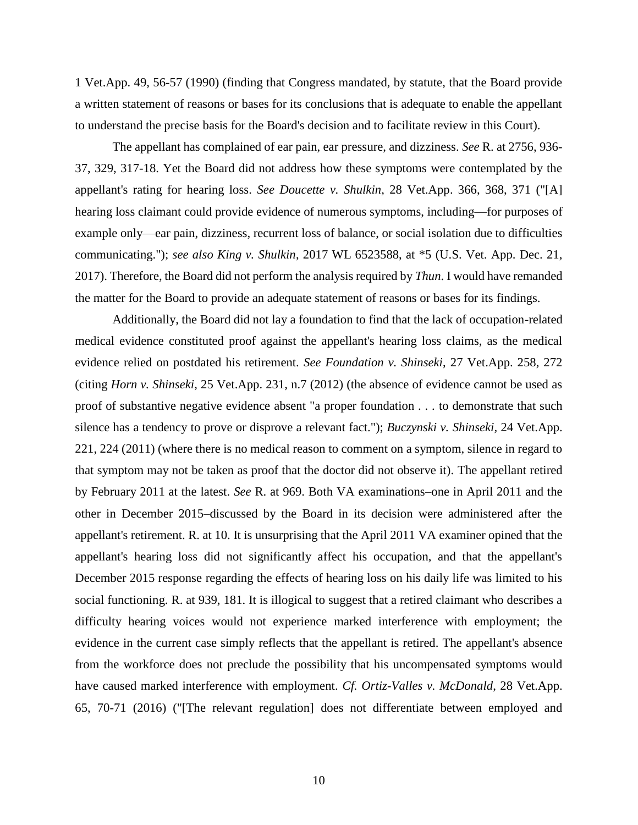1 Vet.App. 49, 56-57 (1990) (finding that Congress mandated, by statute, that the Board provide a written statement of reasons or bases for its conclusions that is adequate to enable the appellant to understand the precise basis for the Board's decision and to facilitate review in this Court).

The appellant has complained of ear pain, ear pressure, and dizziness. *See* R. at 2756, 936- 37, 329, 317-18. Yet the Board did not address how these symptoms were contemplated by the appellant's rating for hearing loss. *See Doucette v. Shulkin*, 28 Vet.App. 366, 368, 371 ("[A] hearing loss claimant could provide evidence of numerous symptoms, including—for purposes of example only—ear pain, dizziness, recurrent loss of balance, or social isolation due to difficulties communicating."); *see also King v. Shulkin*, 2017 WL 6523588, at \*5 (U.S. Vet. App. Dec. 21, 2017). Therefore, the Board did not perform the analysis required by *Thun*. I would have remanded the matter for the Board to provide an adequate statement of reasons or bases for its findings.

Additionally, the Board did not lay a foundation to find that the lack of occupation-related medical evidence constituted proof against the appellant's hearing loss claims, as the medical evidence relied on postdated his retirement. *See Foundation v. Shinseki*, 27 Vet.App. 258, 272 (citing *Horn v. Shinseki*, 25 Vet.App. 231, n.7 (2012) (the absence of evidence cannot be used as proof of substantive negative evidence absent "a proper foundation . . . to demonstrate that such silence has a tendency to prove or disprove a relevant fact."); *Buczynski v. Shinseki,* 24 Vet.App. 221, 224 (2011) (where there is no medical reason to comment on a symptom, silence in regard to that symptom may not be taken as proof that the doctor did not observe it). The appellant retired by February 2011 at the latest. *See* R. at 969. Both VA examinations–one in April 2011 and the other in December 2015–discussed by the Board in its decision were administered after the appellant's retirement. R. at 10. It is unsurprising that the April 2011 VA examiner opined that the appellant's hearing loss did not significantly affect his occupation, and that the appellant's December 2015 response regarding the effects of hearing loss on his daily life was limited to his social functioning. R. at 939, 181. It is illogical to suggest that a retired claimant who describes a difficulty hearing voices would not experience marked interference with employment; the evidence in the current case simply reflects that the appellant is retired. The appellant's absence from the workforce does not preclude the possibility that his uncompensated symptoms would have caused marked interference with employment. *Cf. Ortiz-Valles v. McDonald*, 28 Vet.App. 65, 70-71 (2016) ("[The relevant regulation] does not differentiate between employed and